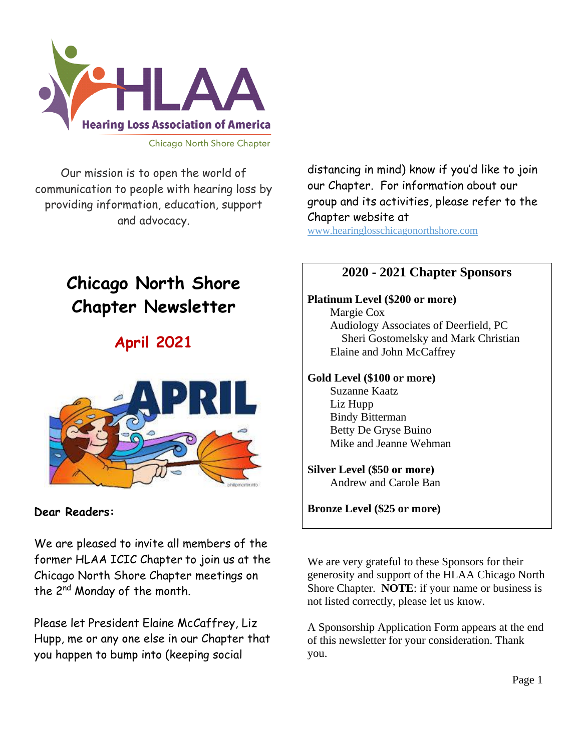

Our mission is to open the world of communication to people with hearing loss by providing information, education, support and advocacy.

# **Chicago North Shore Chapter Newsletter**

## **April 2021**



**Dear Readers:** 

We are pleased to invite all members of the former HLAA ICIC Chapter to join us at the Chicago North Shore Chapter meetings on the 2nd Monday of the month.

Please let President Elaine McCaffrey, Liz Hupp, me or any one else in our Chapter that you happen to bump into (keeping social

distancing in mind) know if you'd like to join our Chapter. For information about our group and its activities, please refer to the Chapter website at

www.hearinglosschicagonorthshore.com

### **2020 - 2021 Chapter Sponsors**

#### **Platinum Level (\$200 or more)**

 Margie Cox Audiology Associates of Deerfield, PC Sheri Gostomelsky and Mark Christian Elaine and John McCaffrey

#### **Gold Level (\$100 or more)**

 Suzanne Kaatz Liz Hupp Bindy Bitterman Betty De Gryse Buino Mike and Jeanne Wehman

#### **Silver Level (\$50 or more)**

Andrew and Carole Ban

**Bronze Level (\$25 or more)**

We are very grateful to these Sponsors for their generosity and support of the HLAA Chicago North Shore Chapter. **NOTE**: if your name or business is not listed correctly, please let us know.

A Sponsorship Application Form appears at the end of this newsletter for your consideration. Thank you.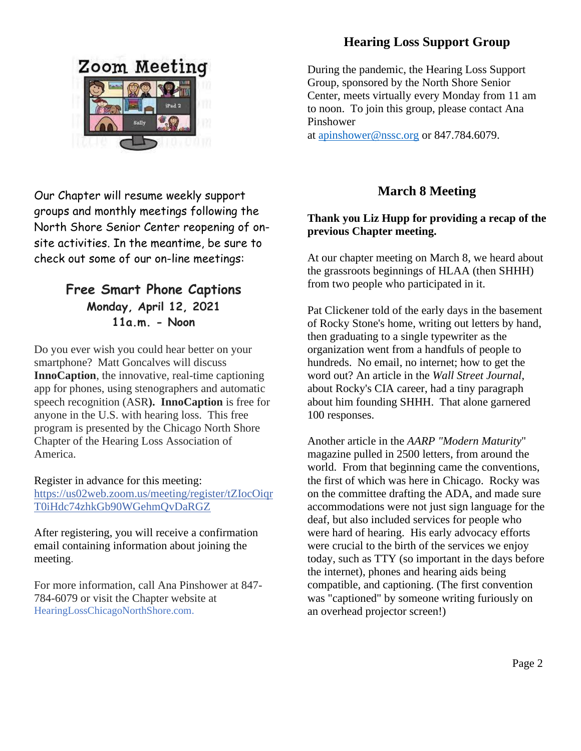

## Our Chapter will resume weekly support groups and monthly meetings following the North Shore Senior Center reopening of onsite activities. In the meantime, be sure to check out some of our on-line meetings:

## **Free Smart Phone Captions Monday, April 12, 2021 11a.m. - Noon**

Do you ever wish you could hear better on your smartphone? Matt Goncalves will discuss **InnoCaption**, the innovative, real-time captioning app for phones, using stenographers and automatic speech recognition (ASR**). InnoCaption** is free for anyone in the U.S. with hearing loss. This free program is presented by the Chicago North Shore Chapter of the Hearing Loss Association of America.

#### Register in advance for this meeting:

[https://us02web.zoom.us/meeting/register/tZIocOiqr](https://us02web.zoom.us/meeting/register/tZIocOiqrT0iHdc74zhkGb90WGehmQvDaRGZ) [T0iHdc74zhkGb90WGehmQvDaRGZ](https://us02web.zoom.us/meeting/register/tZIocOiqrT0iHdc74zhkGb90WGehmQvDaRGZ)

After registering, you will receive a confirmation email containing information about joining the meeting.

For more information, call Ana Pinshower at 847- 784-6079 or visit the Chapter website at HearingLossChicagoNorthShore.com.

## **Hearing Loss Support Group**

During the pandemic, the Hearing Loss Support Group, sponsored by the North Shore Senior Center, meets virtually every Monday from 11 am to noon. To join this group, please contact Ana Pinshower

at [apinshower@nssc.org](mailto:apinshower@nssc.org) or 847.784.6079.

## **March 8 Meeting**

#### **Thank you Liz Hupp for providing a recap of the previous Chapter meeting.**

At our chapter meeting on March 8, we heard about the grassroots beginnings of HLAA (then SHHH) from two people who participated in it.

Pat Clickener told of the early days in the basement of Rocky Stone's home, writing out letters by hand, then graduating to a single typewriter as the organization went from a handfuls of people to hundreds. No email, no internet; how to get the word out? An article in the *Wall Street Journal*, about Rocky's CIA career, had a tiny paragraph about him founding SHHH. That alone garnered 100 responses.

Another article in the *AARP "Modern Maturity*" magazine pulled in 2500 letters, from around the world. From that beginning came the conventions, the first of which was here in Chicago. Rocky was on the committee drafting the ADA, and made sure accommodations were not just sign language for the deaf, but also included services for people who were hard of hearing. His early advocacy efforts were crucial to the birth of the services we enjoy today, such as TTY (so important in the days before the internet), phones and hearing aids being compatible, and captioning. (The first convention was "captioned" by someone writing furiously on an overhead projector screen!)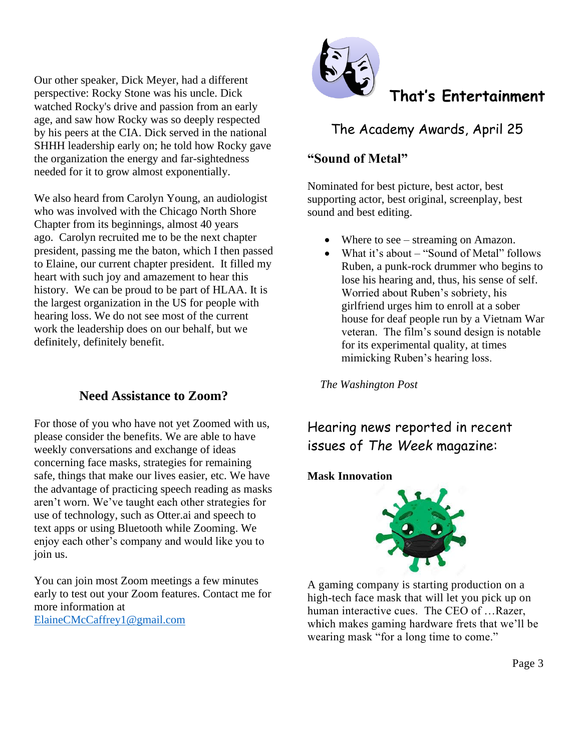Our other speaker, Dick Meyer, had a different perspective: Rocky Stone was his uncle. Dick watched Rocky's drive and passion from an early age, and saw how Rocky was so deeply respected by his peers at the CIA. Dick served in the national SHHH leadership early on; he told how Rocky gave the organization the energy and far-sightedness needed for it to grow almost exponentially.

We also heard from Carolyn Young, an audiologist who was involved with the Chicago North Shore Chapter from its beginnings, almost 40 years ago. Carolyn recruited me to be the next chapter president, passing me the baton, which I then passed to Elaine, our current chapter president. It filled my heart with such joy and amazement to hear this history. We can be proud to be part of HLAA. It is the largest organization in the US for people with hearing loss. We do not see most of the current work the leadership does on our behalf, but we definitely, definitely benefit.

#### **Need Assistance to Zoom?**

For those of you who have not yet Zoomed with us, please consider the benefits. We are able to have weekly conversations and exchange of ideas concerning face masks, strategies for remaining safe, things that make our lives easier, etc. We have the advantage of practicing speech reading as masks aren't worn. We've taught each other strategies for use of technology, such as Otter.ai and speech to text apps or using Bluetooth while Zooming. We enjoy each other's company and would like you to join us.

You can join most Zoom meetings a few minutes early to test out your Zoom features. Contact me for more information at [ElaineCMcCaffrey1@gmail.com](mailto:ElaineCMcCaffrey1@gmail.com)



## **That's Entertainment**

The Academy Awards, April 25

#### **"Sound of Metal"**

Nominated for best picture, best actor, best supporting actor, best original, screenplay, best sound and best editing.

- Where to see streaming on Amazon.
- What it's about "Sound of Metal" follows Ruben, a punk-rock drummer who begins to lose his hearing and, thus, his sense of self. Worried about Ruben's sobriety, his girlfriend urges him to enroll at a sober house for deaf people run by a Vietnam War veteran. The film's sound design is notable for its experimental quality, at times mimicking Ruben's hearing loss.

*The Washington Post*

## Hearing news reported in recent issues of *The Week* magazine:

#### **Mask Innovation**



A gaming company is starting production on a high-tech face mask that will let you pick up on human interactive cues. The CEO of …Razer, which makes gaming hardware frets that we'll be wearing mask "for a long time to come."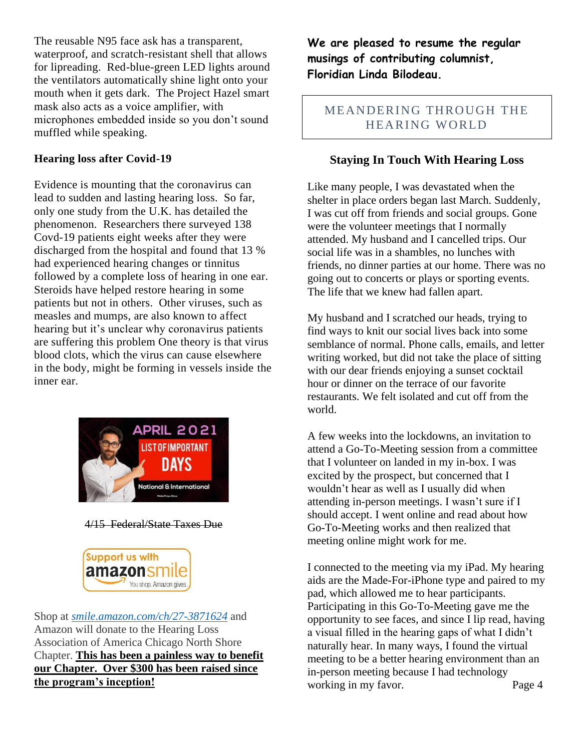The reusable N95 face ask has a transparent, waterproof, and scratch-resistant shell that allows for lipreading. Red-blue-green LED lights around the ventilators automatically shine light onto your mouth when it gets dark. The Project Hazel smart mask also acts as a voice amplifier, with microphones embedded inside so you don't sound muffled while speaking.

#### **Hearing loss after Covid-19**

Evidence is mounting that the coronavirus can lead to sudden and lasting hearing loss. So far, only one study from the U.K. has detailed the phenomenon. Researchers there surveyed 138 Covd-19 patients eight weeks after they were discharged from the hospital and found that 13 % had experienced hearing changes or tinnitus followed by a complete loss of hearing in one ear. Steroids have helped restore hearing in some patients but not in others. Other viruses, such as measles and mumps, are also known to affect hearing but it's unclear why coronavirus patients are suffering this problem One theory is that virus blood clots, which the virus can cause elsewhere in the body, might be forming in vessels inside the inner ear.



#### 4/15 Federal/State Taxes Due



Shop at *[smile.amazon.com/ch/27-3871624](https://smile.amazon.com/gp/f.html?C=1ISN78MKH9BO5&K=335GHMLLUNWPP&M=urn:rtn:msg:201711261709243e998692f70f4f958c3b0d8c4fc0p0na&R=2QXN90TCYDI2Y&T=C&U=http%3A%2F%2Fsmile.amazon.com%2Fch%2F27-3871624&H=TGCVNDHNIX5ZIRJTWBNLXG15NMOA)* and Amazon will donate to the Hearing Loss Association of America Chicago North Shore Chapter. **This has been a painless way to benefit our Chapter. Over \$300 has been raised since the program's inception!**

**We are pleased to resume the regular musings of contributing columnist, Floridian Linda Bilodeau.**

#### MEANDERING THROUGH THE HEARING WORLD

#### **Staying In Touch With Hearing Loss**

Like many people, I was devastated when the shelter in place orders began last March. Suddenly, I was cut off from friends and social groups. Gone were the volunteer meetings that I normally attended. My husband and I cancelled trips. Our social life was in a shambles, no lunches with friends, no dinner parties at our home. There was no going out to concerts or plays or sporting events. The life that we knew had fallen apart.

My husband and I scratched our heads, trying to find ways to knit our social lives back into some semblance of normal. Phone calls, emails, and letter writing worked, but did not take the place of sitting with our dear friends enjoying a sunset cocktail hour or dinner on the terrace of our favorite restaurants. We felt isolated and cut off from the world.

A few weeks into the lockdowns, an invitation to attend a Go-To-Meeting session from a committee that I volunteer on landed in my in-box. I was excited by the prospect, but concerned that I wouldn't hear as well as I usually did when attending in-person meetings. I wasn't sure if I should accept. I went online and read about how Go-To-Meeting works and then realized that meeting online might work for me.

I connected to the meeting via my iPad. My hearing aids are the Made-For-iPhone type and paired to my pad, which allowed me to hear participants. Participating in this Go-To-Meeting gave me the opportunity to see faces, and since I lip read, having a visual filled in the hearing gaps of what I didn't naturally hear. In many ways, I found the virtual meeting to be a better hearing environment than an in-person meeting because I had technology working in my favor. Page 4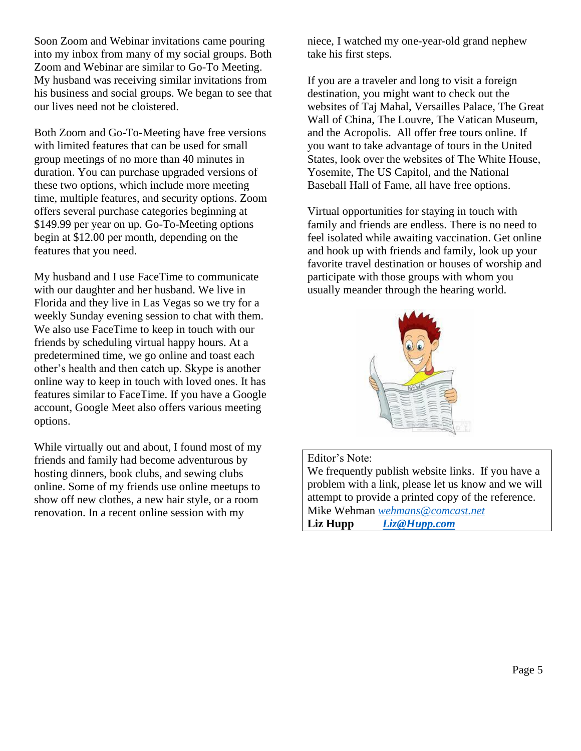Soon Zoom and Webinar invitations came pouring into my inbox from many of my social groups. Both Zoom and Webinar are similar to Go-To Meeting. My husband was receiving similar invitations from his business and social groups. We began to see that our lives need not be cloistered.

Both Zoom and Go-To-Meeting have free versions with limited features that can be used for small group meetings of no more than 40 minutes in duration. You can purchase upgraded versions of these two options, which include more meeting time, multiple features, and security options. Zoom offers several purchase categories beginning at \$149.99 per year on up. Go-To-Meeting options begin at \$12.00 per month, depending on the features that you need.

My husband and I use FaceTime to communicate with our daughter and her husband. We live in Florida and they live in Las Vegas so we try for a weekly Sunday evening session to chat with them. We also use FaceTime to keep in touch with our friends by scheduling virtual happy hours. At a predetermined time, we go online and toast each other's health and then catch up. Skype is another online way to keep in touch with loved ones. It has features similar to FaceTime. If you have a Google account, Google Meet also offers various meeting options.

While virtually out and about, I found most of my friends and family had become adventurous by hosting dinners, book clubs, and sewing clubs online. Some of my friends use online meetups to show off new clothes, a new hair style, or a room renovation. In a recent online session with my

niece, I watched my one-year-old grand nephew take his first steps.

If you are a traveler and long to visit a foreign destination, you might want to check out the websites of Taj Mahal, Versailles Palace, The Great Wall of China, The Louvre, The Vatican Museum, and the Acropolis. All offer free tours online. If you want to take advantage of tours in the United States, look over the websites of The White House, Yosemite, The US Capitol, and the National Baseball Hall of Fame, all have free options.

Virtual opportunities for staying in touch with family and friends are endless. There is no need to feel isolated while awaiting vaccination. Get online and hook up with friends and family, look up your favorite travel destination or houses of worship and participate with those groups with whom you usually meander through the hearing world.



#### Editor's Note:

We frequently publish website links. If you have a problem with a link, please let us know and we will attempt to provide a printed copy of the reference. Mike Wehman *[wehmans@comcast.net](mailto:wehmans@comcast.net)* **Liz Hupp** *Liz@Hupp.com*